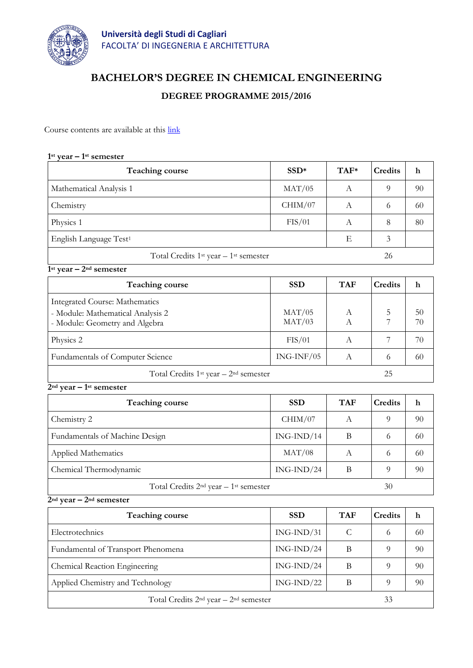

# **BACHELOR'S DEGREE IN CHEMICAL ENGINEERING**

# **DEGREE PROGRAMME 2015/2016**

Course contents are available at this [link](http://facolta.unica.it/ingegneriarchitettura/education/lecture-schedule/?lang=en)

## **1 st year – 1 st semester**

| <b>Teaching course</b>                   | $SSD*$  | $TAF*$ | <b>Credits</b> | h  |
|------------------------------------------|---------|--------|----------------|----|
| Mathematical Analysis 1                  | MAT/05  | А      | $\Omega$       | 90 |
| Chemistry                                | CHIM/07 | А      | 6              | 60 |
| Physics 1                                | FIS/01  | А      | 8              | 80 |
| English Language Test <sup>1</sup>       |         | Е      | 3              |    |
| Total Credits $1st$ year $-1st$ semester |         |        | 26             |    |

### **1st year – 2nd semester**

| <b>Teaching course</b>                                                                                       | <b>SSD</b>       | <b>TAF</b> | <b>Credits</b> | h        |
|--------------------------------------------------------------------------------------------------------------|------------------|------------|----------------|----------|
| <b>Integrated Course: Mathematics</b><br>- Module: Mathematical Analysis 2<br>- Module: Geometry and Algebra | MAT/05<br>MAT/03 |            |                | 50<br>70 |
| Physics 2                                                                                                    | FIS/01           | A          |                | 70       |
| Fundamentals of Computer Science                                                                             | $ING-INF/05$     | A          | 6              | 60       |
| Total Credits $1st$ year $-2nd$ semester                                                                     |                  |            | 25             |          |

# **2nd year – 1st semester**

| Teaching course                          | <b>SSD</b>   | <b>TAF</b> | <b>Credits</b> | h  |
|------------------------------------------|--------------|------------|----------------|----|
| Chemistry 2                              | CHIM/07      | A          | 9              | 90 |
| Fundamentals of Machine Design           | $ING-IND/14$ | B          | 6              | 60 |
| Applied Mathematics                      | MAT/08       | А          | 6              | 60 |
| Chemical Thermodynamic                   | $ING-IND/24$ | В          | $\Omega$       | 90 |
| Total Credits $2nd$ year $-1st$ semester |              |            | 30             |    |

#### **2nd year – 2nd semester**

| Teaching course                          | <b>SSD</b>   | <b>TAF</b> | <b>Credits</b> | h  |
|------------------------------------------|--------------|------------|----------------|----|
| Electrotechnics                          | $ING-IND/31$ | C          | 6              | 60 |
| Fundamental of Transport Phenomena       | $ING-IND/24$ | В          | 9              | 90 |
| Chemical Reaction Engineering            | $ING-IND/24$ | В          | 9              | 90 |
| Applied Chemistry and Technology         | $ING-IND/22$ | В          | 9              | 90 |
| Total Credits $2nd$ year $-2nd$ semester |              |            | 33             |    |